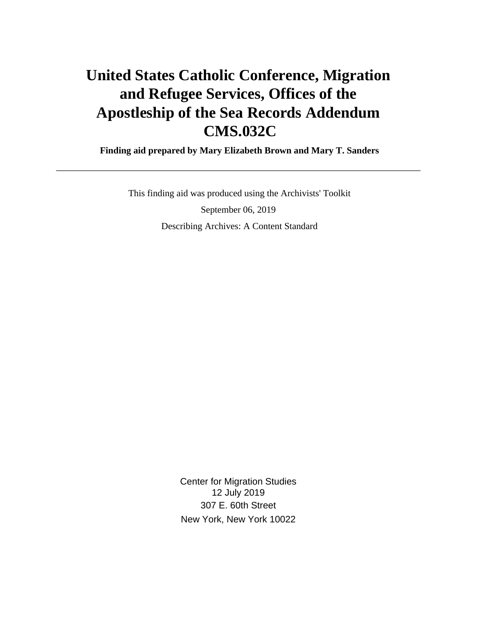# **United States Catholic Conference, Migration and Refugee Services, Offices of the Apostleship of the Sea Records Addendum CMS.032C**

 **Finding aid prepared by Mary Elizabeth Brown and Mary T. Sanders**

 This finding aid was produced using the Archivists' Toolkit September 06, 2019 Describing Archives: A Content Standard

> Center for Migration Studies 12 July 2019 307 E. 60th Street New York, New York 10022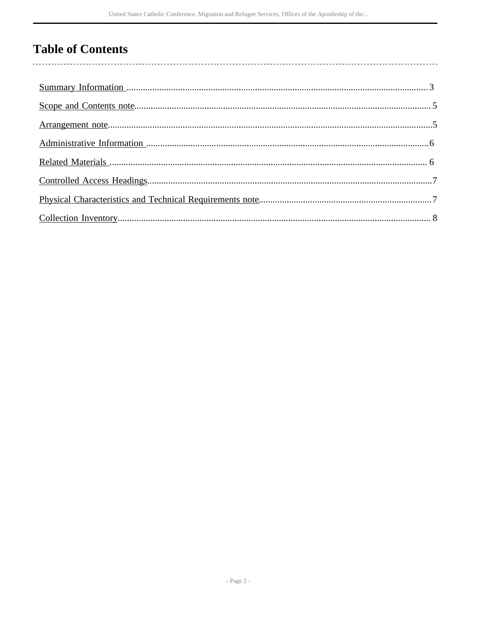## **Table of Contents**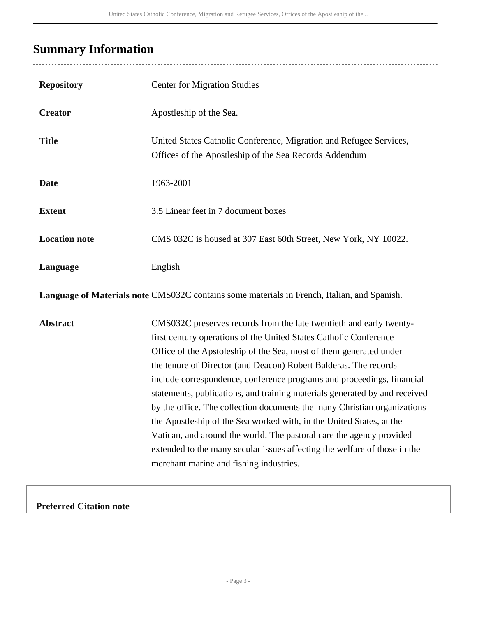## <span id="page-2-0"></span>**Summary Information**

| <b>Repository</b>    | <b>Center for Migration Studies</b>                                                                                                                                                                                                                                                                                                                                                                                                                                                                                                                                                                                                                                                                                                                                                            |
|----------------------|------------------------------------------------------------------------------------------------------------------------------------------------------------------------------------------------------------------------------------------------------------------------------------------------------------------------------------------------------------------------------------------------------------------------------------------------------------------------------------------------------------------------------------------------------------------------------------------------------------------------------------------------------------------------------------------------------------------------------------------------------------------------------------------------|
| <b>Creator</b>       | Apostleship of the Sea.                                                                                                                                                                                                                                                                                                                                                                                                                                                                                                                                                                                                                                                                                                                                                                        |
| <b>Title</b>         | United States Catholic Conference, Migration and Refugee Services,<br>Offices of the Apostleship of the Sea Records Addendum                                                                                                                                                                                                                                                                                                                                                                                                                                                                                                                                                                                                                                                                   |
| <b>Date</b>          | 1963-2001                                                                                                                                                                                                                                                                                                                                                                                                                                                                                                                                                                                                                                                                                                                                                                                      |
| <b>Extent</b>        | 3.5 Linear feet in 7 document boxes                                                                                                                                                                                                                                                                                                                                                                                                                                                                                                                                                                                                                                                                                                                                                            |
| <b>Location note</b> | CMS 032C is housed at 307 East 60th Street, New York, NY 10022.                                                                                                                                                                                                                                                                                                                                                                                                                                                                                                                                                                                                                                                                                                                                |
| Language             | English                                                                                                                                                                                                                                                                                                                                                                                                                                                                                                                                                                                                                                                                                                                                                                                        |
|                      | Language of Materials note CMS032C contains some materials in French, Italian, and Spanish.                                                                                                                                                                                                                                                                                                                                                                                                                                                                                                                                                                                                                                                                                                    |
| <b>Abstract</b>      | CMS032C preserves records from the late twentieth and early twenty-<br>first century operations of the United States Catholic Conference<br>Office of the Apstoleship of the Sea, most of them generated under<br>the tenure of Director (and Deacon) Robert Balderas. The records<br>include correspondence, conference programs and proceedings, financial<br>statements, publications, and training materials generated by and received<br>by the office. The collection documents the many Christian organizations<br>the Apostleship of the Sea worked with, in the United States, at the<br>Vatican, and around the world. The pastoral care the agency provided<br>extended to the many secular issues affecting the welfare of those in the<br>merchant marine and fishing industries. |

**Preferred Citation note**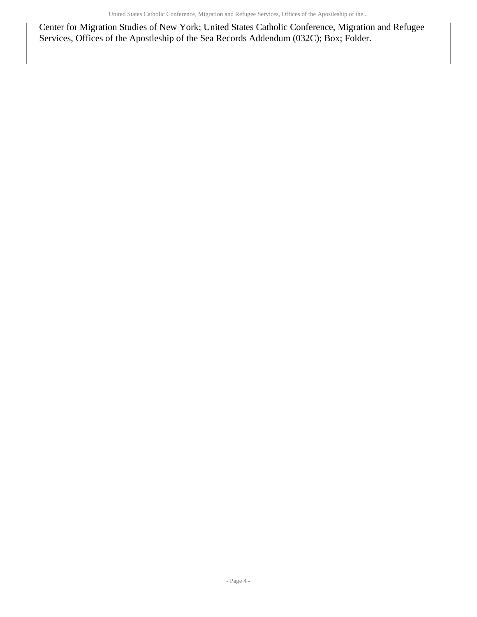Center for Migration Studies of New York; United States Catholic Conference, Migration and Refugee Services, Offices of the Apostleship of the Sea Records Addendum (032C); Box; Folder.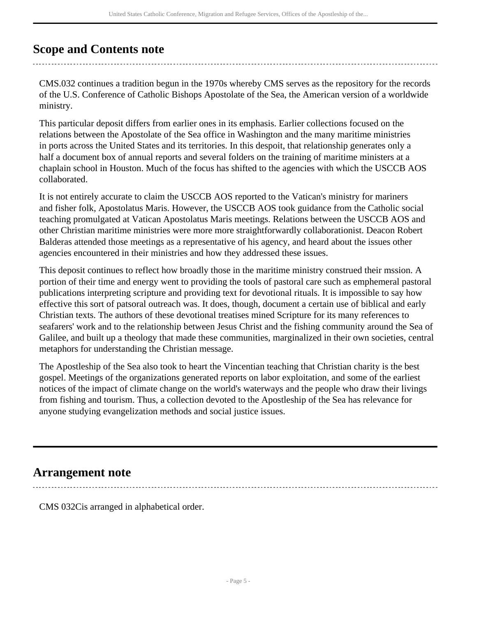### <span id="page-4-0"></span>**Scope and Contents note**

CMS.032 continues a tradition begun in the 1970s whereby CMS serves as the repository for the records of the U.S. Conference of Catholic Bishops Apostolate of the Sea, the American version of a worldwide ministry.

This particular deposit differs from earlier ones in its emphasis. Earlier collections focused on the relations between the Apostolate of the Sea office in Washington and the many maritime ministries in ports across the United States and its territories. In this despoit, that relationship generates only a half a document box of annual reports and several folders on the training of maritime ministers at a chaplain school in Houston. Much of the focus has shifted to the agencies with which the USCCB AOS collaborated.

It is not entirely accurate to claim the USCCB AOS reported to the Vatican's ministry for mariners and fisher folk, Apostolatus Maris. However, the USCCB AOS took guidance from the Catholic social teaching promulgated at Vatican Apostolatus Maris meetings. Relations between the USCCB AOS and other Christian maritime ministries were more more straightforwardly collaborationist. Deacon Robert Balderas attended those meetings as a representative of his agency, and heard about the issues other agencies encountered in their ministries and how they addressed these issues.

This deposit continues to reflect how broadly those in the maritime ministry construed their mssion. A portion of their time and energy went to providing the tools of pastoral care such as emphemeral pastoral publications interpreting scripture and providing text for devotional rituals. It is impossible to say how effective this sort of patsoral outreach was. It does, though, document a certain use of biblical and early Christian texts. The authors of these devotional treatises mined Scripture for its many references to seafarers' work and to the relationship between Jesus Christ and the fishing community around the Sea of Galilee, and built up a theology that made these communities, marginalized in their own societies, central metaphors for understanding the Christian message.

The Apostleship of the Sea also took to heart the Vincentian teaching that Christian charity is the best gospel. Meetings of the organizations generated reports on labor exploitation, and some of the earliest notices of the impact of climate change on the world's waterways and the people who draw their livings from fishing and tourism. Thus, a collection devoted to the Apostleship of the Sea has relevance for anyone studying evangelization methods and social justice issues.

### <span id="page-4-1"></span>**Arrangement note**

CMS 032Cis arranged in alphabetical order.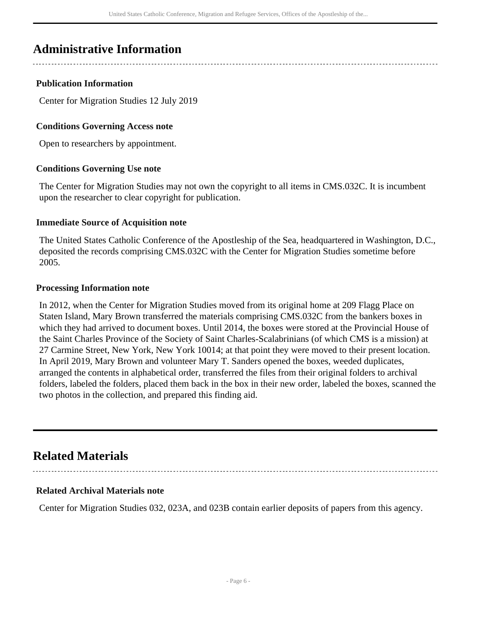### <span id="page-5-0"></span>**Administrative Information**

#### **Publication Information**

Center for Migration Studies 12 July 2019

#### **Conditions Governing Access note**

Open to researchers by appointment.

#### **Conditions Governing Use note**

The Center for Migration Studies may not own the copyright to all items in CMS.032C. It is incumbent upon the researcher to clear copyright for publication.

#### **Immediate Source of Acquisition note**

The United States Catholic Conference of the Apostleship of the Sea, headquartered in Washington, D.C., deposited the records comprising CMS.032C with the Center for Migration Studies sometime before 2005.

#### **Processing Information note**

In 2012, when the Center for Migration Studies moved from its original home at 209 Flagg Place on Staten Island, Mary Brown transferred the materials comprising CMS.032C from the bankers boxes in which they had arrived to document boxes. Until 2014, the boxes were stored at the Provincial House of the Saint Charles Province of the Society of Saint Charles-Scalabrinians (of which CMS is a mission) at 27 Carmine Street, New York, New York 10014; at that point they were moved to their present location. In April 2019, Mary Brown and volunteer Mary T. Sanders opened the boxes, weeded duplicates, arranged the contents in alphabetical order, transferred the files from their original folders to archival folders, labeled the folders, placed them back in the box in their new order, labeled the boxes, scanned the two photos in the collection, and prepared this finding aid.

### <span id="page-5-1"></span>**Related Materials**

#### **Related Archival Materials note**

Center for Migration Studies 032, 023A, and 023B contain earlier deposits of papers from this agency.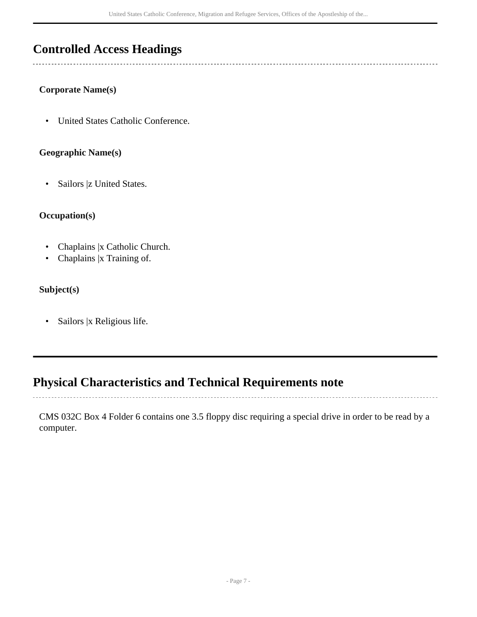### <span id="page-6-0"></span>**Controlled Access Headings**

#### **Corporate Name(s)**

• United States Catholic Conference.

#### **Geographic Name(s)**

• Sailors |z United States.

#### **Occupation(s)**

- Chaplains |x Catholic Church.
- Chaplains |x Training of.

#### **Subject(s)**

• Sailors |x Religious life.

### <span id="page-6-1"></span>**Physical Characteristics and Technical Requirements note**

CMS 032C Box 4 Folder 6 contains one 3.5 floppy disc requiring a special drive in order to be read by a computer.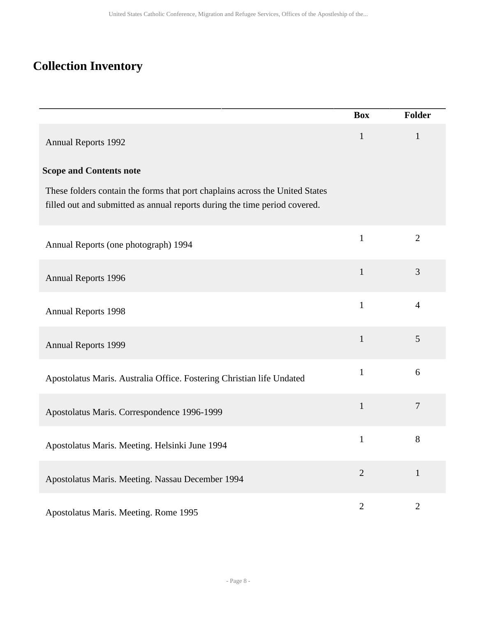## <span id="page-7-0"></span>**Collection Inventory**

|                                                                                                                                                            | <b>Box</b>     | <b>Folder</b>  |
|------------------------------------------------------------------------------------------------------------------------------------------------------------|----------------|----------------|
| <b>Annual Reports 1992</b>                                                                                                                                 | $\mathbf{1}$   | $\mathbf{1}$   |
| <b>Scope and Contents note</b>                                                                                                                             |                |                |
| These folders contain the forms that port chaplains across the United States<br>filled out and submitted as annual reports during the time period covered. |                |                |
| Annual Reports (one photograph) 1994                                                                                                                       | $\mathbf{1}$   | $\overline{2}$ |
| <b>Annual Reports 1996</b>                                                                                                                                 | $\mathbf{1}$   | 3              |
| <b>Annual Reports 1998</b>                                                                                                                                 | $\mathbf{1}$   | $\overline{4}$ |
| <b>Annual Reports 1999</b>                                                                                                                                 | $\mathbf{1}$   | 5              |
| Apostolatus Maris. Australia Office. Fostering Christian life Undated                                                                                      | $\mathbf{1}$   | 6              |
| Apostolatus Maris. Correspondence 1996-1999                                                                                                                | $\mathbf{1}$   | $\overline{7}$ |
| Apostolatus Maris. Meeting. Helsinki June 1994                                                                                                             | $\mathbf{1}$   | 8              |
| Apostolatus Maris. Meeting. Nassau December 1994                                                                                                           | $\overline{2}$ | $\mathbf{1}$   |
| Apostolatus Maris. Meeting. Rome 1995                                                                                                                      | $\overline{2}$ | $\overline{2}$ |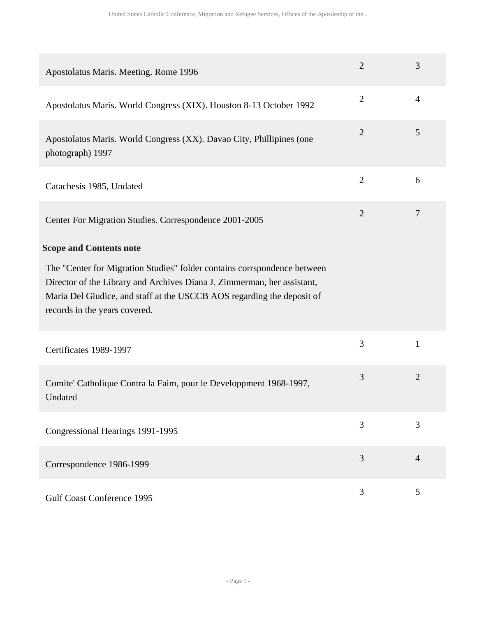| Apostolatus Maris. Meeting. Rome 1996                                                                                                                                                                                                                          | $\overline{2}$ | 3              |
|----------------------------------------------------------------------------------------------------------------------------------------------------------------------------------------------------------------------------------------------------------------|----------------|----------------|
| Apostolatus Maris. World Congress (XIX). Houston 8-13 October 1992                                                                                                                                                                                             | $\overline{2}$ | $\overline{4}$ |
| Apostolatus Maris. World Congress (XX). Davao City, Phillipines (one<br>photograph) 1997                                                                                                                                                                       | $\overline{2}$ | 5              |
| Catachesis 1985, Undated                                                                                                                                                                                                                                       | $\overline{2}$ | 6              |
| Center For Migration Studies. Correspondence 2001-2005                                                                                                                                                                                                         | $\overline{2}$ | 7              |
| <b>Scope and Contents note</b>                                                                                                                                                                                                                                 |                |                |
| The "Center for Migration Studies" folder contains corrspondence between<br>Director of the Library and Archives Diana J. Zimmerman, her assistant,<br>Maria Del Giudice, and staff at the USCCB AOS regarding the deposit of<br>records in the years covered. |                |                |
| Certificates 1989-1997                                                                                                                                                                                                                                         | 3              | 1              |
| Comite' Catholique Contra la Faim, pour le Developpment 1968-1997,<br>Undated                                                                                                                                                                                  | 3              | $\overline{2}$ |
| Congressional Hearings 1991-1995                                                                                                                                                                                                                               | $\overline{3}$ | 3              |
| Correspondence 1986-1999                                                                                                                                                                                                                                       | 3              | $\overline{4}$ |
| <b>Gulf Coast Conference 1995</b>                                                                                                                                                                                                                              | 3              | 5              |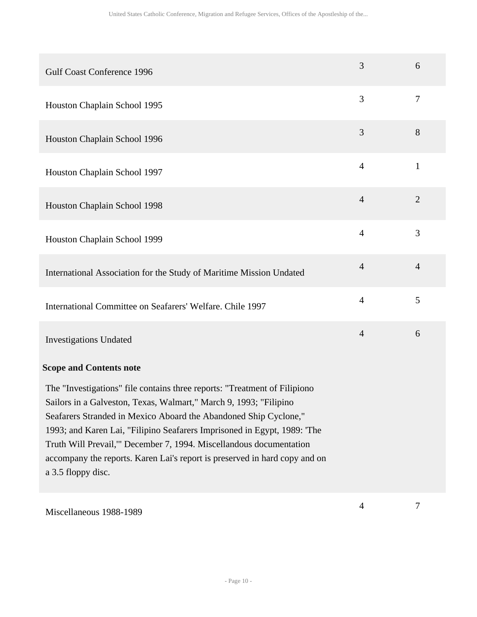| <b>Gulf Coast Conference 1996</b>                                                                                                                                                                                                                                                                                                                                                                                                                                        | 3              | 6              |
|--------------------------------------------------------------------------------------------------------------------------------------------------------------------------------------------------------------------------------------------------------------------------------------------------------------------------------------------------------------------------------------------------------------------------------------------------------------------------|----------------|----------------|
| Houston Chaplain School 1995                                                                                                                                                                                                                                                                                                                                                                                                                                             | 3              | $\tau$         |
| Houston Chaplain School 1996                                                                                                                                                                                                                                                                                                                                                                                                                                             | 3              | 8              |
| Houston Chaplain School 1997                                                                                                                                                                                                                                                                                                                                                                                                                                             | $\overline{4}$ | $\mathbf{1}$   |
| Houston Chaplain School 1998                                                                                                                                                                                                                                                                                                                                                                                                                                             | $\overline{4}$ | $\overline{2}$ |
| Houston Chaplain School 1999                                                                                                                                                                                                                                                                                                                                                                                                                                             | $\overline{4}$ | 3              |
| International Association for the Study of Maritime Mission Undated                                                                                                                                                                                                                                                                                                                                                                                                      | $\overline{4}$ | $\overline{4}$ |
| International Committee on Seafarers' Welfare. Chile 1997                                                                                                                                                                                                                                                                                                                                                                                                                | $\overline{4}$ | 5              |
| <b>Investigations Undated</b>                                                                                                                                                                                                                                                                                                                                                                                                                                            | $\overline{4}$ | 6              |
| <b>Scope and Contents note</b>                                                                                                                                                                                                                                                                                                                                                                                                                                           |                |                |
| The "Investigations" file contains three reports: "Treatment of Filipiono<br>Sailors in a Galveston, Texas, Walmart," March 9, 1993; "Filipino<br>Seafarers Stranded in Mexico Aboard the Abandoned Ship Cyclone,"<br>1993; and Karen Lai, "Filipino Seafarers Imprisoned in Egypt, 1989: 'The<br>Truth Will Prevail," December 7, 1994. Miscellandous documentation<br>accompany the reports. Karen Lai's report is preserved in hard copy and on<br>a 3.5 floppy disc. |                |                |
| Miscellaneous 1988-1989                                                                                                                                                                                                                                                                                                                                                                                                                                                  | $\overline{4}$ | $\overline{7}$ |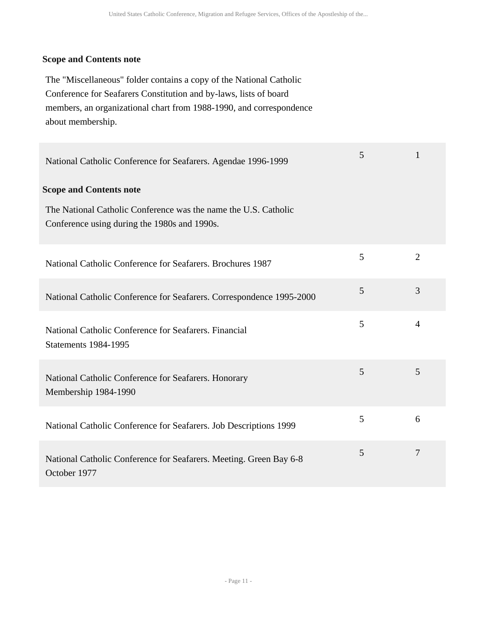#### **Scope and Contents note**

The "Miscellaneous" folder contains a copy of the National Catholic Conference for Seafarers Constitution and by-laws, lists of board members, an organizational chart from 1988-1990, and correspondence about membership.

| National Catholic Conference for Seafarers. Agendae 1996-1999                                                   | 5 | 1              |
|-----------------------------------------------------------------------------------------------------------------|---|----------------|
| <b>Scope and Contents note</b>                                                                                  |   |                |
| The National Catholic Conference was the name the U.S. Catholic<br>Conference using during the 1980s and 1990s. |   |                |
| National Catholic Conference for Seafarers. Brochures 1987                                                      | 5 | $\overline{2}$ |
| National Catholic Conference for Seafarers. Correspondence 1995-2000                                            | 5 | 3              |
| National Catholic Conference for Seafarers. Financial<br><b>Statements 1984-1995</b>                            | 5 | $\overline{4}$ |
| National Catholic Conference for Seafarers. Honorary<br>Membership 1984-1990                                    | 5 | 5              |
| National Catholic Conference for Seafarers. Job Descriptions 1999                                               | 5 | 6              |
| National Catholic Conference for Seafarers. Meeting. Green Bay 6-8<br>October 1977                              | 5 | 7              |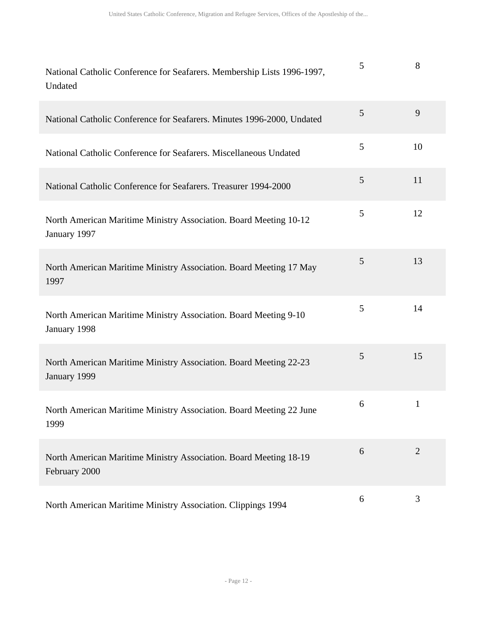| National Catholic Conference for Seafarers. Membership Lists 1996-1997,<br>Undated | 5 | 8              |
|------------------------------------------------------------------------------------|---|----------------|
| National Catholic Conference for Seafarers. Minutes 1996-2000, Undated             | 5 | 9              |
| National Catholic Conference for Seafarers. Miscellaneous Undated                  | 5 | 10             |
| National Catholic Conference for Seafarers. Treasurer 1994-2000                    | 5 | 11             |
| North American Maritime Ministry Association. Board Meeting 10-12<br>January 1997  | 5 | 12             |
| North American Maritime Ministry Association. Board Meeting 17 May<br>1997         | 5 | 13             |
| North American Maritime Ministry Association. Board Meeting 9-10<br>January 1998   | 5 | 14             |
| North American Maritime Ministry Association. Board Meeting 22-23<br>January 1999  | 5 | 15             |
| North American Maritime Ministry Association. Board Meeting 22 June<br>1999        | 6 | $\mathbf{1}$   |
| North American Maritime Ministry Association. Board Meeting 18-19<br>February 2000 | 6 | $\overline{2}$ |
| North American Maritime Ministry Association. Clippings 1994                       | 6 | 3              |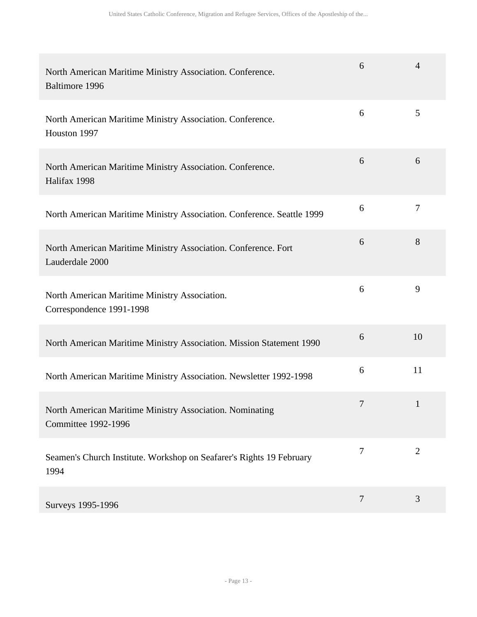| North American Maritime Ministry Association. Conference.<br>Baltimore 1996            | 6      | $\overline{4}$ |
|----------------------------------------------------------------------------------------|--------|----------------|
| North American Maritime Ministry Association. Conference.<br>Houston 1997              | 6      | 5              |
| North American Maritime Ministry Association. Conference.<br>Halifax 1998              | 6      | 6              |
| North American Maritime Ministry Association. Conference. Seattle 1999                 | 6      | $\overline{7}$ |
| North American Maritime Ministry Association. Conference. Fort<br>Lauderdale 2000      | 6      | 8              |
| North American Maritime Ministry Association.<br>Correspondence 1991-1998              | 6      | 9              |
| North American Maritime Ministry Association. Mission Statement 1990                   | 6      | 10             |
| North American Maritime Ministry Association. Newsletter 1992-1998                     | 6      | 11             |
| North American Maritime Ministry Association. Nominating<br><b>Committee 1992-1996</b> | 7      | $\mathbf{1}$   |
| Seamen's Church Institute. Workshop on Seafarer's Rights 19 February<br>1994           | $\tau$ | $\overline{2}$ |
| Surveys 1995-1996                                                                      | 7      | 3              |